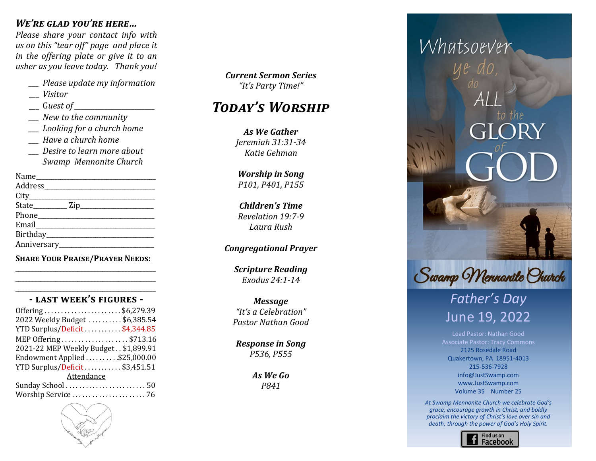#### *We're glad you're here…*

*Please share your contact info with us on this "tear off" page and place it in the offering plate or give it to an usher as you leave today. Thank you!*

*\_\_\_ Please update my information* 

- \_\_\_ *Visitor*
- $\_\_$  Guest of  $\_$
- *\_\_\_ New to the community*
- *\_\_\_ Looking for a church home*
- *\_\_\_ Have a church home*
- *\_\_\_ Desire to learn more about Swamp Mennonite Church*

Name\_\_\_\_\_\_\_\_\_\_\_\_\_\_\_\_\_\_\_\_\_\_\_\_\_\_\_\_\_\_\_\_\_\_\_\_\_\_\_ Address City State\_\_\_\_\_\_\_\_\_\_\_ Zip\_\_\_\_\_\_\_\_\_\_\_\_\_\_\_\_\_\_\_\_\_\_\_\_ Phone Email Birthday\_ Anniversary\_\_\_\_\_\_\_\_\_\_\_\_\_\_\_\_\_\_\_\_\_\_\_\_\_\_\_\_\_\_\_

**Share Your Praise/Prayer Needs:** \_\_\_\_\_\_\_\_\_\_\_\_\_\_\_\_\_\_\_\_\_\_\_\_\_\_\_\_\_\_\_\_\_\_\_\_\_\_\_\_\_\_\_\_\_

#### \_\_\_\_\_\_\_\_\_\_\_\_\_\_\_\_\_\_\_\_\_\_\_\_\_\_\_\_\_\_\_\_\_\_\_\_\_\_\_\_\_\_\_\_\_ **- last week's figures -**

\_\_\_\_\_\_\_\_\_\_\_\_\_\_\_\_\_\_\_\_\_\_\_\_\_\_\_\_\_\_\_\_\_\_\_\_\_\_\_\_\_\_\_\_\_

| Offering\$6,279.39                   |
|--------------------------------------|
| 2022 Weekly Budget \$6,385.54        |
| YTD Surplus/Deficit\$4,344.85        |
| MEP Offering \$713.16                |
| 2021-22 MEP Weekly Budget \$1,899.91 |
| Endowment Applied \$25,000.00        |
| YTD Surplus/Deficit\$3,451.51        |
| Attendance                           |
|                                      |
|                                      |



#### *Call to Worship Welcome & Focusing Worship Focusing "It's Party Time!" Praise Team "Growing Together in Christ" Marlin Clemmer Current Sermon Series*

#### *Welcome & Focusing Lowell Gehman & Isaiah 55:6-9, 56:1-2 Will Sadler Isaiah 55:6-9, 56:1-2 Psalm 88 Today's Worship Lowell Gehman &*

*As We Gather Congregational Prayer Praise Team Jonah 4:5-9, 2 Corinthians 4:7-12 Katie Gehman Praise Team Worship in Song Scripture Reading Jeremiah 31:31-34 Will Sadler SB54, B521 As We Gather*

*Celebrating Our Life Together Congregational Prayer Steve & Cindy Weaver "Before the Throne of God Above P101, P401, P155* **Worship in Song** *w/ In Christ Alone"*

*Children's Time Laura Rush Offertory Children's Time Childrens Time Laura Rush Children's Time Carol Longacre Congregational Prayer Leah Rush and Carol Longacre Revelation 19:7-9*

#### *Scripture Reading Worship in Song Carol Longacre Arlene Yothers Congregational Prayer*

*2 Timothy 2:8-13 Worship in Song Worship in Song Scripture Reading Message Scripture Reading Teena Gehman Exodus 24:1-14 Congregational Prayer*

*Raised the Messiah from the Dead " Message Pastor Verle A. Brubaker "The Mystery of God in Our Present" Pastor Verle A. Brubaker Message Pastor Nathan Good Message Inessuye*<br>*IIt's a Colobration*" *Matthew 26:36-46 "It's a Celebration"*

*Carol Longacre Response in Song Benediction "The Mystery of God in Our Relationships " Pastor Verle A. Brubaker "When Death Seems Better Than Life" Response in Song Pastor Nathan Good P536, P555*

*In 2013 we wo will also we wo will also we wo will also we would studying the Word and obeying the Spirit" This Advent we are "Engaging Benediction P841Response in Song SB10, R606 As We Go*

# Whatsoever

the tο

Swamp Mennanite Church

## *Father's Day* June 19, 2022

Lead Pastor: Nathan Good Associate Pastor: Tracy Commons 2125 Rosedale Road Quakertown, PA 18951-4013 215-536-7928 info@JustSwamp.com www.JustSwamp.com Volume 35 Number 25

*At Swamp Mennonite Church we celebrate God's grace, encourage growth in Christ, and boldly proclaim the victory of Christ's love over sin and death; through the power of God's Holy Spirit.*